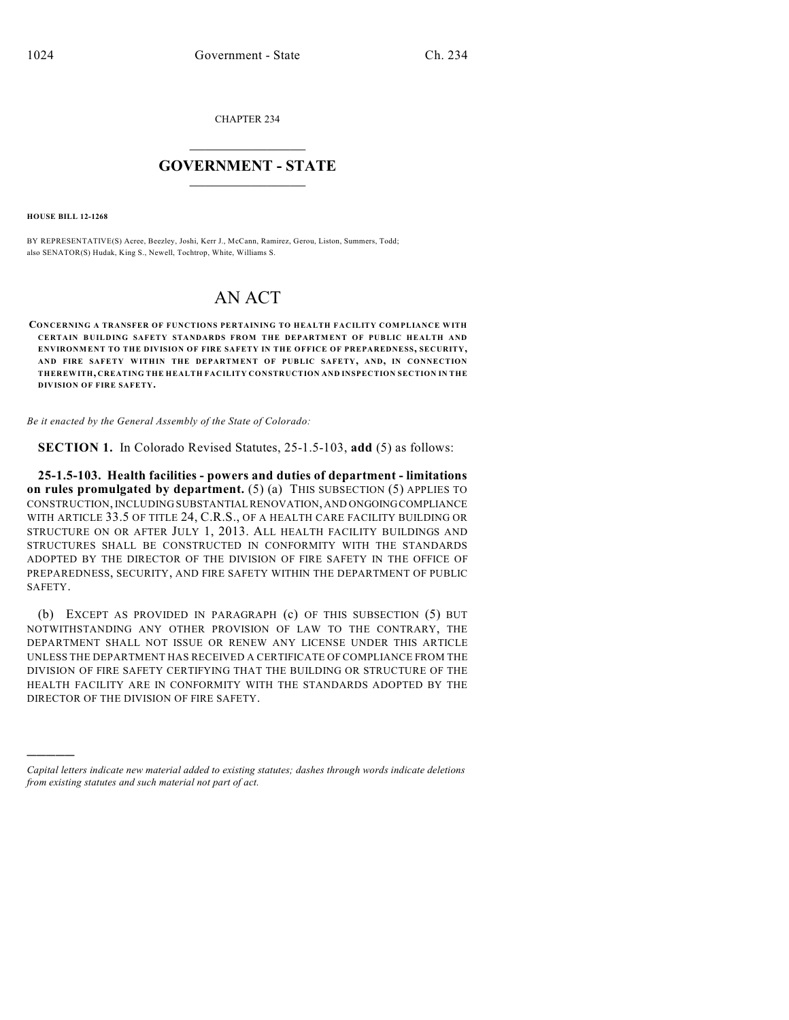CHAPTER 234

## $\mathcal{L}_\text{max}$  . The set of the set of the set of the set of the set of the set of the set of the set of the set of the set of the set of the set of the set of the set of the set of the set of the set of the set of the set **GOVERNMENT - STATE**  $\_$   $\_$   $\_$   $\_$   $\_$   $\_$   $\_$   $\_$   $\_$

**HOUSE BILL 12-1268**

)))))

BY REPRESENTATIVE(S) Acree, Beezley, Joshi, Kerr J., McCann, Ramirez, Gerou, Liston, Summers, Todd; also SENATOR(S) Hudak, King S., Newell, Tochtrop, White, Williams S.

## AN ACT

**CONCERNING A TRANSFER OF FUNCTIONS PERTAINING TO HEALTH FACILITY COMPLIANCE WITH CERTAIN BUILDING SAFETY STANDARDS FROM THE DEPARTMENT OF PUBLIC HEALTH AND ENVIRONMENT TO THE DIVISION OF FIRE SAFETY IN THE OFFICE OF PREPAREDNESS, SECURITY, AND FIRE SAFETY WITHIN THE DEPARTMENT OF PUBLIC SAFETY, AND, IN CONNECTION THEREWITH, CREATING THE HEALTH FACILITY CONSTRUCTION AND INSPECTION SECTION IN THE DIVISION OF FIRE SAFETY.**

*Be it enacted by the General Assembly of the State of Colorado:*

**SECTION 1.** In Colorado Revised Statutes, 25-1.5-103, **add** (5) as follows:

**25-1.5-103. Health facilities - powers and duties of department - limitations on rules promulgated by department.** (5) (a) THIS SUBSECTION (5) APPLIES TO CONSTRUCTION,INCLUDING SUBSTANTIAL RENOVATION, AND ONGOINGCOMPLIANCE WITH ARTICLE 33.5 OF TITLE 24, C.R.S., OF A HEALTH CARE FACILITY BUILDING OR STRUCTURE ON OR AFTER JULY 1, 2013. ALL HEALTH FACILITY BUILDINGS AND STRUCTURES SHALL BE CONSTRUCTED IN CONFORMITY WITH THE STANDARDS ADOPTED BY THE DIRECTOR OF THE DIVISION OF FIRE SAFETY IN THE OFFICE OF PREPAREDNESS, SECURITY, AND FIRE SAFETY WITHIN THE DEPARTMENT OF PUBLIC SAFETY.

(b) EXCEPT AS PROVIDED IN PARAGRAPH (c) OF THIS SUBSECTION (5) BUT NOTWITHSTANDING ANY OTHER PROVISION OF LAW TO THE CONTRARY, THE DEPARTMENT SHALL NOT ISSUE OR RENEW ANY LICENSE UNDER THIS ARTICLE UNLESS THE DEPARTMENT HAS RECEIVED A CERTIFICATE OF COMPLIANCE FROM THE DIVISION OF FIRE SAFETY CERTIFYING THAT THE BUILDING OR STRUCTURE OF THE HEALTH FACILITY ARE IN CONFORMITY WITH THE STANDARDS ADOPTED BY THE DIRECTOR OF THE DIVISION OF FIRE SAFETY.

*Capital letters indicate new material added to existing statutes; dashes through words indicate deletions from existing statutes and such material not part of act.*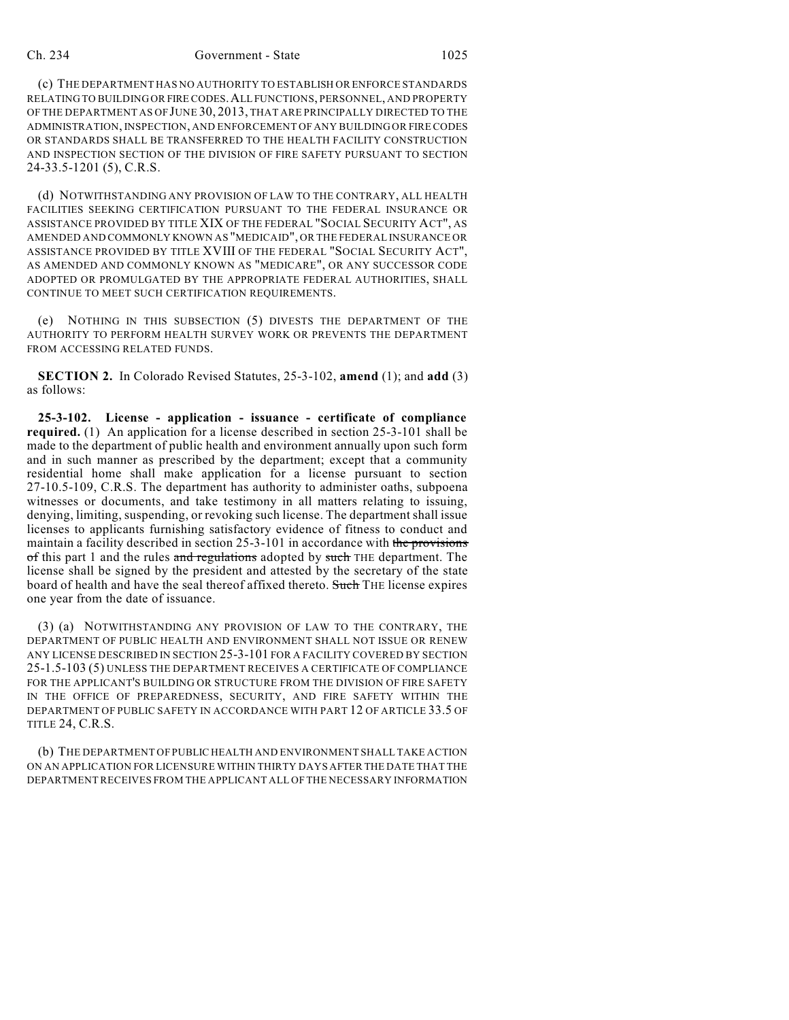## Ch. 234 Government - State 1025

(c) THE DEPARTMENT HAS NO AUTHORITY TO ESTABLISH OR ENFORCE STANDARDS RELATING TO BUILDING OR FIRE CODES.ALL FUNCTIONS, PERSONNEL, AND PROPERTY OF THE DEPARTMENT AS OF JUNE 30, 2013, THAT ARE PRINCIPALLY DIRECTED TO THE ADMINISTRATION, INSPECTION, AND ENFORCEMENT OF ANY BUILDING OR FIRE CODES OR STANDARDS SHALL BE TRANSFERRED TO THE HEALTH FACILITY CONSTRUCTION AND INSPECTION SECTION OF THE DIVISION OF FIRE SAFETY PURSUANT TO SECTION 24-33.5-1201 (5), C.R.S.

(d) NOTWITHSTANDING ANY PROVISION OF LAW TO THE CONTRARY, ALL HEALTH FACILITIES SEEKING CERTIFICATION PURSUANT TO THE FEDERAL INSURANCE OR ASSISTANCE PROVIDED BY TITLE XIX OF THE FEDERAL "SOCIAL SECURITY ACT", AS AMENDED AND COMMONLY KNOWN AS "MEDICAID", OR THE FEDERAL INSURANCE OR ASSISTANCE PROVIDED BY TITLE XVIII OF THE FEDERAL "SOCIAL SECURITY ACT", AS AMENDED AND COMMONLY KNOWN AS "MEDICARE", OR ANY SUCCESSOR CODE ADOPTED OR PROMULGATED BY THE APPROPRIATE FEDERAL AUTHORITIES, SHALL CONTINUE TO MEET SUCH CERTIFICATION REQUIREMENTS.

(e) NOTHING IN THIS SUBSECTION (5) DIVESTS THE DEPARTMENT OF THE AUTHORITY TO PERFORM HEALTH SURVEY WORK OR PREVENTS THE DEPARTMENT FROM ACCESSING RELATED FUNDS.

**SECTION 2.** In Colorado Revised Statutes, 25-3-102, **amend** (1); and **add** (3) as follows:

**25-3-102. License - application - issuance - certificate of compliance required.** (1) An application for a license described in section 25-3-101 shall be made to the department of public health and environment annually upon such form and in such manner as prescribed by the department; except that a community residential home shall make application for a license pursuant to section 27-10.5-109, C.R.S. The department has authority to administer oaths, subpoena witnesses or documents, and take testimony in all matters relating to issuing, denying, limiting, suspending, or revoking such license. The department shall issue licenses to applicants furnishing satisfactory evidence of fitness to conduct and maintain a facility described in section  $25-3-101$  in accordance with the provisions of this part 1 and the rules and regulations adopted by such THE department. The license shall be signed by the president and attested by the secretary of the state board of health and have the seal thereof affixed thereto. Such THE license expires one year from the date of issuance.

(3) (a) NOTWITHSTANDING ANY PROVISION OF LAW TO THE CONTRARY, THE DEPARTMENT OF PUBLIC HEALTH AND ENVIRONMENT SHALL NOT ISSUE OR RENEW ANY LICENSE DESCRIBED IN SECTION 25-3-101 FOR A FACILITY COVERED BY SECTION 25-1.5-103 (5) UNLESS THE DEPARTMENT RECEIVES A CERTIFICATE OF COMPLIANCE FOR THE APPLICANT'S BUILDING OR STRUCTURE FROM THE DIVISION OF FIRE SAFETY IN THE OFFICE OF PREPAREDNESS, SECURITY, AND FIRE SAFETY WITHIN THE DEPARTMENT OF PUBLIC SAFETY IN ACCORDANCE WITH PART 12 OF ARTICLE 33.5 OF TITLE 24, C.R.S.

(b) THE DEPARTMENT OF PUBLIC HEALTH AND ENVIRONMENT SHALL TAKE ACTION ON AN APPLICATION FOR LICENSURE WITHIN THIRTY DAYS AFTER THE DATE THAT THE DEPARTMENTRECEIVES FROM THE APPLICANT ALL OF THE NECESSARY INFORMATION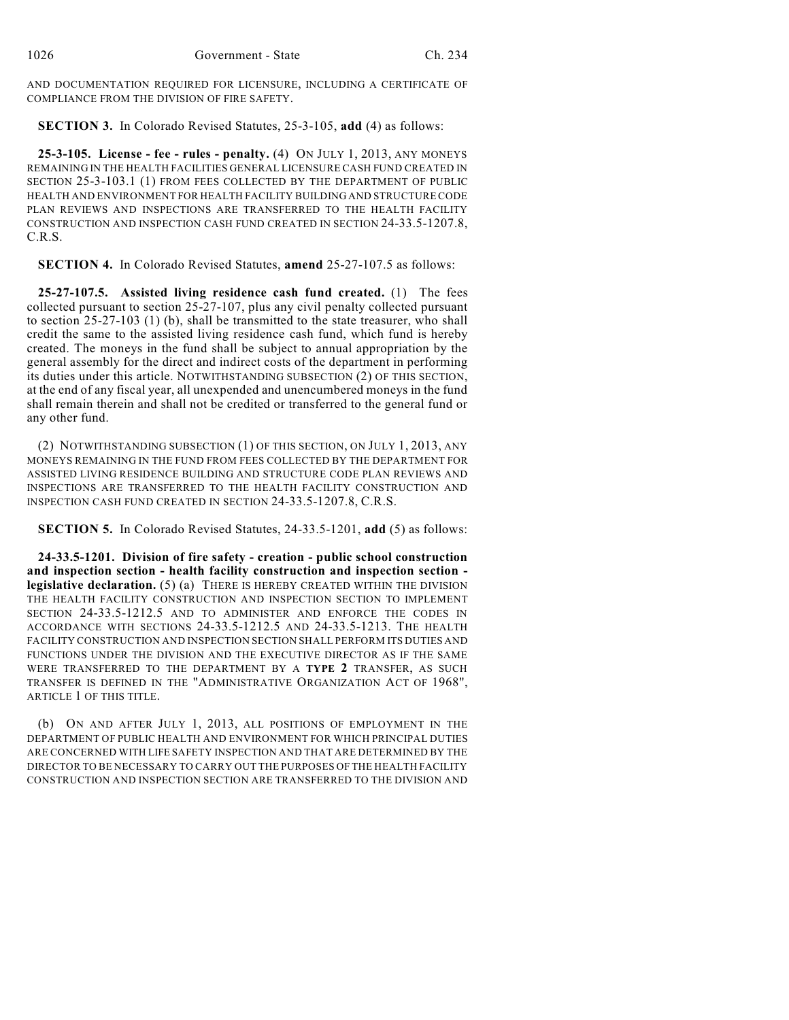AND DOCUMENTATION REQUIRED FOR LICENSURE, INCLUDING A CERTIFICATE OF COMPLIANCE FROM THE DIVISION OF FIRE SAFETY.

**SECTION 3.** In Colorado Revised Statutes, 25-3-105, **add** (4) as follows:

**25-3-105. License - fee - rules - penalty.** (4) ON JULY 1, 2013, ANY MONEYS REMAINING IN THE HEALTH FACILITIES GENERAL LICENSURE CASH FUND CREATED IN SECTION 25-3-103.1 (1) FROM FEES COLLECTED BY THE DEPARTMENT OF PUBLIC HEALTH AND ENVIRONMENT FOR HEALTH FACILITY BUILDING AND STRUCTURE CODE PLAN REVIEWS AND INSPECTIONS ARE TRANSFERRED TO THE HEALTH FACILITY CONSTRUCTION AND INSPECTION CASH FUND CREATED IN SECTION 24-33.5-1207.8, C.R.S.

**SECTION 4.** In Colorado Revised Statutes, **amend** 25-27-107.5 as follows:

**25-27-107.5. Assisted living residence cash fund created.** (1) The fees collected pursuant to section 25-27-107, plus any civil penalty collected pursuant to section 25-27-103 (1) (b), shall be transmitted to the state treasurer, who shall credit the same to the assisted living residence cash fund, which fund is hereby created. The moneys in the fund shall be subject to annual appropriation by the general assembly for the direct and indirect costs of the department in performing its duties under this article. NOTWITHSTANDING SUBSECTION (2) OF THIS SECTION, at the end of any fiscal year, all unexpended and unencumbered moneys in the fund shall remain therein and shall not be credited or transferred to the general fund or any other fund.

(2) NOTWITHSTANDING SUBSECTION (1) OF THIS SECTION, ON JULY 1, 2013, ANY MONEYS REMAINING IN THE FUND FROM FEES COLLECTED BY THE DEPARTMENT FOR ASSISTED LIVING RESIDENCE BUILDING AND STRUCTURE CODE PLAN REVIEWS AND INSPECTIONS ARE TRANSFERRED TO THE HEALTH FACILITY CONSTRUCTION AND INSPECTION CASH FUND CREATED IN SECTION 24-33.5-1207.8, C.R.S.

**SECTION 5.** In Colorado Revised Statutes, 24-33.5-1201, **add** (5) as follows:

**24-33.5-1201. Division of fire safety - creation - public school construction and inspection section - health facility construction and inspection section legislative declaration.** (5) (a) THERE IS HEREBY CREATED WITHIN THE DIVISION THE HEALTH FACILITY CONSTRUCTION AND INSPECTION SECTION TO IMPLEMENT SECTION 24-33.5-1212.5 AND TO ADMINISTER AND ENFORCE THE CODES IN ACCORDANCE WITH SECTIONS 24-33.5-1212.5 AND 24-33.5-1213. THE HEALTH FACILITY CONSTRUCTION AND INSPECTION SECTION SHALL PERFORM ITS DUTIES AND FUNCTIONS UNDER THE DIVISION AND THE EXECUTIVE DIRECTOR AS IF THE SAME WERE TRANSFERRED TO THE DEPARTMENT BY A **TYPE 2** TRANSFER, AS SUCH TRANSFER IS DEFINED IN THE "ADMINISTRATIVE ORGANIZATION ACT OF 1968", ARTICLE 1 OF THIS TITLE.

(b) ON AND AFTER JULY 1, 2013, ALL POSITIONS OF EMPLOYMENT IN THE DEPARTMENT OF PUBLIC HEALTH AND ENVIRONMENT FOR WHICH PRINCIPAL DUTIES ARE CONCERNED WITH LIFE SAFETY INSPECTION AND THAT ARE DETERMINED BY THE DIRECTOR TO BE NECESSARY TO CARRY OUT THE PURPOSES OF THE HEALTH FACILITY CONSTRUCTION AND INSPECTION SECTION ARE TRANSFERRED TO THE DIVISION AND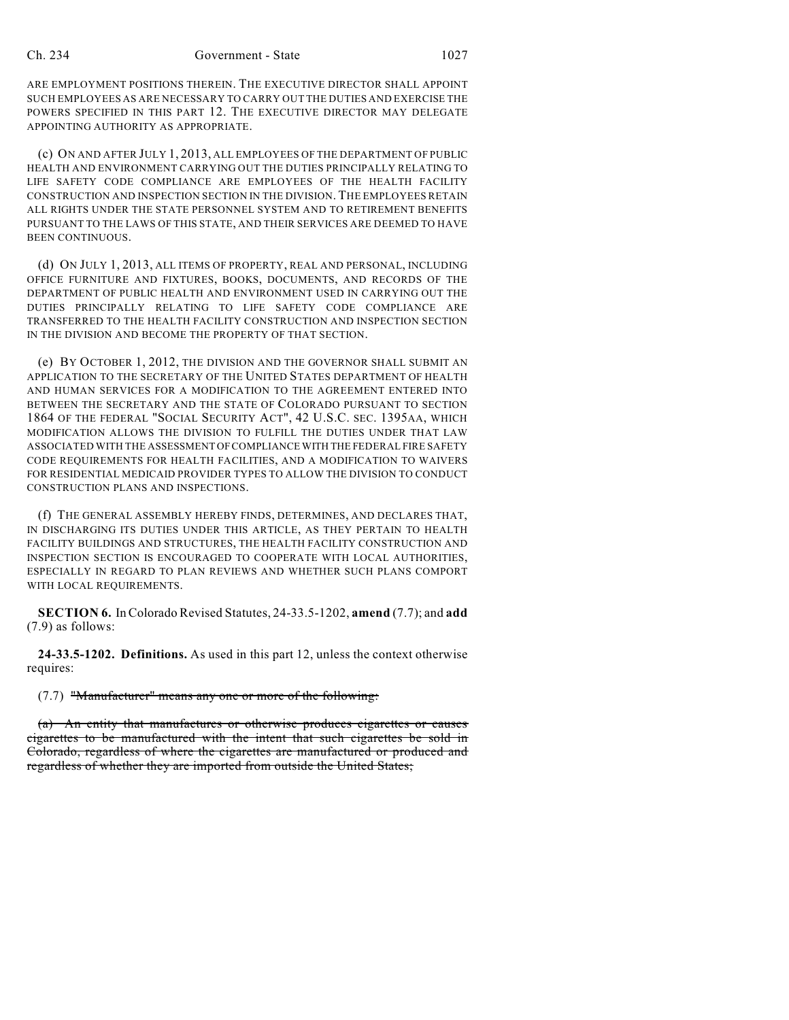ARE EMPLOYMENT POSITIONS THEREIN. THE EXECUTIVE DIRECTOR SHALL APPOINT SUCH EMPLOYEES AS ARE NECESSARY TO CARRY OUT THE DUTIES AND EXERCISE THE POWERS SPECIFIED IN THIS PART 12. THE EXECUTIVE DIRECTOR MAY DELEGATE APPOINTING AUTHORITY AS APPROPRIATE.

(c) ON AND AFTER JULY 1, 2013, ALL EMPLOYEES OF THE DEPARTMENT OF PUBLIC HEALTH AND ENVIRONMENT CARRYING OUT THE DUTIES PRINCIPALLY RELATING TO LIFE SAFETY CODE COMPLIANCE ARE EMPLOYEES OF THE HEALTH FACILITY CONSTRUCTION AND INSPECTION SECTION IN THE DIVISION. THE EMPLOYEES RETAIN ALL RIGHTS UNDER THE STATE PERSONNEL SYSTEM AND TO RETIREMENT BENEFITS PURSUANT TO THE LAWS OF THIS STATE, AND THEIR SERVICES ARE DEEMED TO HAVE BEEN CONTINUOUS.

(d) ON JULY 1, 2013, ALL ITEMS OF PROPERTY, REAL AND PERSONAL, INCLUDING OFFICE FURNITURE AND FIXTURES, BOOKS, DOCUMENTS, AND RECORDS OF THE DEPARTMENT OF PUBLIC HEALTH AND ENVIRONMENT USED IN CARRYING OUT THE DUTIES PRINCIPALLY RELATING TO LIFE SAFETY CODE COMPLIANCE ARE TRANSFERRED TO THE HEALTH FACILITY CONSTRUCTION AND INSPECTION SECTION IN THE DIVISION AND BECOME THE PROPERTY OF THAT SECTION.

(e) BY OCTOBER 1, 2012, THE DIVISION AND THE GOVERNOR SHALL SUBMIT AN APPLICATION TO THE SECRETARY OF THE UNITED STATES DEPARTMENT OF HEALTH AND HUMAN SERVICES FOR A MODIFICATION TO THE AGREEMENT ENTERED INTO BETWEEN THE SECRETARY AND THE STATE OF COLORADO PURSUANT TO SECTION 1864 OF THE FEDERAL "SOCIAL SECURITY ACT", 42 U.S.C. SEC. 1395AA, WHICH MODIFICATION ALLOWS THE DIVISION TO FULFILL THE DUTIES UNDER THAT LAW ASSOCIATED WITH THE ASSESSMENT OFCOMPLIANCE WITH THE FEDERAL FIRE SAFETY CODE REQUIREMENTS FOR HEALTH FACILITIES, AND A MODIFICATION TO WAIVERS FOR RESIDENTIAL MEDICAID PROVIDER TYPES TO ALLOW THE DIVISION TO CONDUCT CONSTRUCTION PLANS AND INSPECTIONS.

(f) THE GENERAL ASSEMBLY HEREBY FINDS, DETERMINES, AND DECLARES THAT, IN DISCHARGING ITS DUTIES UNDER THIS ARTICLE, AS THEY PERTAIN TO HEALTH FACILITY BUILDINGS AND STRUCTURES, THE HEALTH FACILITY CONSTRUCTION AND INSPECTION SECTION IS ENCOURAGED TO COOPERATE WITH LOCAL AUTHORITIES, ESPECIALLY IN REGARD TO PLAN REVIEWS AND WHETHER SUCH PLANS COMPORT WITH LOCAL REQUIREMENTS.

**SECTION 6.** InColorado Revised Statutes, 24-33.5-1202, **amend** (7.7); and **add** (7.9) as follows:

**24-33.5-1202. Definitions.** As used in this part 12, unless the context otherwise requires:

(7.7) "Manufacturer" means any one or more of the following:

(a) An entity that manufactures or otherwise produces cigarettes or causes cigarettes to be manufactured with the intent that such cigarettes be sold in Colorado, regardless of where the cigarettes are manufactured or produced and regardless of whether they are imported from outside the United States;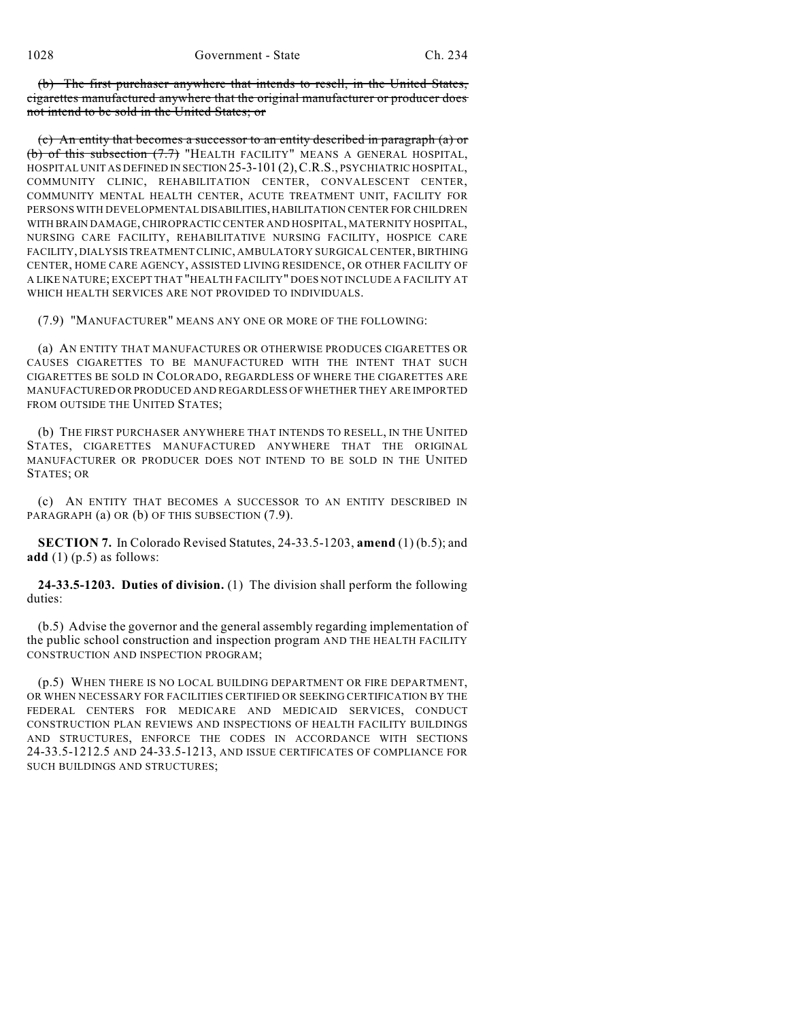(b) The first purchaser anywhere that intends to resell, in the United States, cigarettes manufactured anywhere that the original manufacturer or producer does not intend to be sold in the United States; or

(c) An entity that becomes a successor to an entity described in paragraph (a) or (b) of this subsection (7.7) "HEALTH FACILITY" MEANS A GENERAL HOSPITAL, HOSPITAL UNIT AS DEFINED IN SECTION 25-3-101 (2),C.R.S., PSYCHIATRIC HOSPITAL, COMMUNITY CLINIC, REHABILITATION CENTER, CONVALESCENT CENTER, COMMUNITY MENTAL HEALTH CENTER, ACUTE TREATMENT UNIT, FACILITY FOR PERSONS WITH DEVELOPMENTAL DISABILITIES, HABILITATION CENTER FOR CHILDREN WITH BRAIN DAMAGE, CHIROPRACTIC CENTER AND HOSPITAL, MATERNITY HOSPITAL, NURSING CARE FACILITY, REHABILITATIVE NURSING FACILITY, HOSPICE CARE FACILITY, DIALYSIS TREATMENT CLINIC, AMBULATORY SURGICAL CENTER, BIRTHING CENTER, HOME CARE AGENCY, ASSISTED LIVING RESIDENCE, OR OTHER FACILITY OF A LIKE NATURE; EXCEPT THAT "HEALTH FACILITY" DOES NOT INCLUDE A FACILITY AT WHICH HEALTH SERVICES ARE NOT PROVIDED TO INDIVIDUALS.

(7.9) "MANUFACTURER" MEANS ANY ONE OR MORE OF THE FOLLOWING:

(a) AN ENTITY THAT MANUFACTURES OR OTHERWISE PRODUCES CIGARETTES OR CAUSES CIGARETTES TO BE MANUFACTURED WITH THE INTENT THAT SUCH CIGARETTES BE SOLD IN COLORADO, REGARDLESS OF WHERE THE CIGARETTES ARE MANUFACTURED OR PRODUCED AND REGARDLESS OF WHETHER THEY ARE IMPORTED FROM OUTSIDE THE UNITED STATES;

(b) THE FIRST PURCHASER ANYWHERE THAT INTENDS TO RESELL, IN THE UNITED STATES, CIGARETTES MANUFACTURED ANYWHERE THAT THE ORIGINAL MANUFACTURER OR PRODUCER DOES NOT INTEND TO BE SOLD IN THE UNITED STATES; OR

(c) AN ENTITY THAT BECOMES A SUCCESSOR TO AN ENTITY DESCRIBED IN PARAGRAPH (a) OR (b) OF THIS SUBSECTION (7.9).

**SECTION 7.** In Colorado Revised Statutes, 24-33.5-1203, **amend** (1) (b.5); and **add** (1) (p.5) as follows:

**24-33.5-1203. Duties of division.** (1) The division shall perform the following duties:

(b.5) Advise the governor and the general assembly regarding implementation of the public school construction and inspection program AND THE HEALTH FACILITY CONSTRUCTION AND INSPECTION PROGRAM;

(p.5) WHEN THERE IS NO LOCAL BUILDING DEPARTMENT OR FIRE DEPARTMENT, OR WHEN NECESSARY FOR FACILITIES CERTIFIED OR SEEKING CERTIFICATION BY THE FEDERAL CENTERS FOR MEDICARE AND MEDICAID SERVICES, CONDUCT CONSTRUCTION PLAN REVIEWS AND INSPECTIONS OF HEALTH FACILITY BUILDINGS AND STRUCTURES, ENFORCE THE CODES IN ACCORDANCE WITH SECTIONS 24-33.5-1212.5 AND 24-33.5-1213, AND ISSUE CERTIFICATES OF COMPLIANCE FOR SUCH BUILDINGS AND STRUCTURES;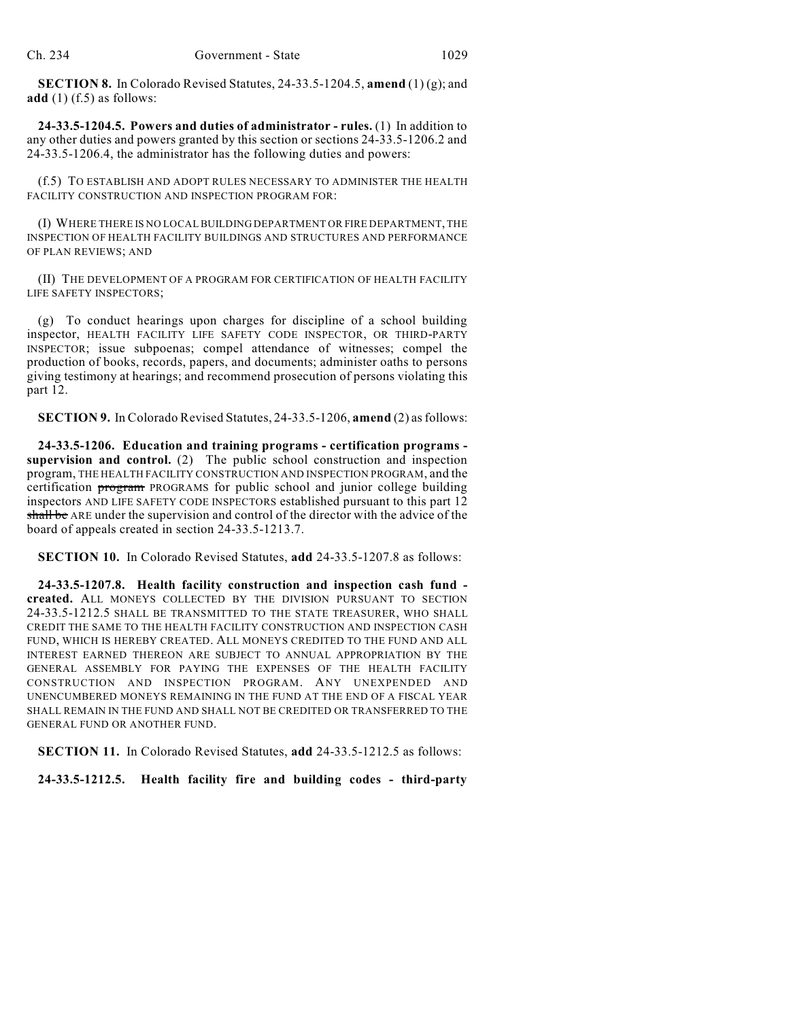**SECTION 8.** In Colorado Revised Statutes, 24-33.5-1204.5, **amend** (1) (g); and **add** (1) (f.5) as follows:

**24-33.5-1204.5. Powers and duties of administrator - rules.** (1) In addition to any other duties and powers granted by this section or sections 24-33.5-1206.2 and 24-33.5-1206.4, the administrator has the following duties and powers:

(f.5) TO ESTABLISH AND ADOPT RULES NECESSARY TO ADMINISTER THE HEALTH FACILITY CONSTRUCTION AND INSPECTION PROGRAM FOR:

(I) WHERE THERE IS NO LOCALBUILDING DEPARTMENT OR FIRE DEPARTMENT, THE INSPECTION OF HEALTH FACILITY BUILDINGS AND STRUCTURES AND PERFORMANCE OF PLAN REVIEWS; AND

(II) THE DEVELOPMENT OF A PROGRAM FOR CERTIFICATION OF HEALTH FACILITY LIFE SAFETY INSPECTORS;

(g) To conduct hearings upon charges for discipline of a school building inspector, HEALTH FACILITY LIFE SAFETY CODE INSPECTOR, OR THIRD-PARTY INSPECTOR; issue subpoenas; compel attendance of witnesses; compel the production of books, records, papers, and documents; administer oaths to persons giving testimony at hearings; and recommend prosecution of persons violating this part 12.

**SECTION 9.** In Colorado Revised Statutes, 24-33.5-1206, **amend** (2) asfollows:

**24-33.5-1206. Education and training programs - certification programs supervision and control.** (2) The public school construction and inspection program, THE HEALTH FACILITY CONSTRUCTION AND INSPECTION PROGRAM, and the certification program PROGRAMS for public school and junior college building inspectors AND LIFE SAFETY CODE INSPECTORS established pursuant to this part 12 shall be ARE under the supervision and control of the director with the advice of the board of appeals created in section 24-33.5-1213.7.

**SECTION 10.** In Colorado Revised Statutes, **add** 24-33.5-1207.8 as follows:

**24-33.5-1207.8. Health facility construction and inspection cash fund created.** ALL MONEYS COLLECTED BY THE DIVISION PURSUANT TO SECTION 24-33.5-1212.5 SHALL BE TRANSMITTED TO THE STATE TREASURER, WHO SHALL CREDIT THE SAME TO THE HEALTH FACILITY CONSTRUCTION AND INSPECTION CASH FUND, WHICH IS HEREBY CREATED. ALL MONEYS CREDITED TO THE FUND AND ALL INTEREST EARNED THEREON ARE SUBJECT TO ANNUAL APPROPRIATION BY THE GENERAL ASSEMBLY FOR PAYING THE EXPENSES OF THE HEALTH FACILITY CONSTRUCTION AND INSPECTION PROGRAM. ANY UNEXPENDED AND UNENCUMBERED MONEYS REMAINING IN THE FUND AT THE END OF A FISCAL YEAR SHALL REMAIN IN THE FUND AND SHALL NOT BE CREDITED OR TRANSFERRED TO THE GENERAL FUND OR ANOTHER FUND.

**SECTION 11.** In Colorado Revised Statutes, **add** 24-33.5-1212.5 as follows:

**24-33.5-1212.5. Health facility fire and building codes - third-party**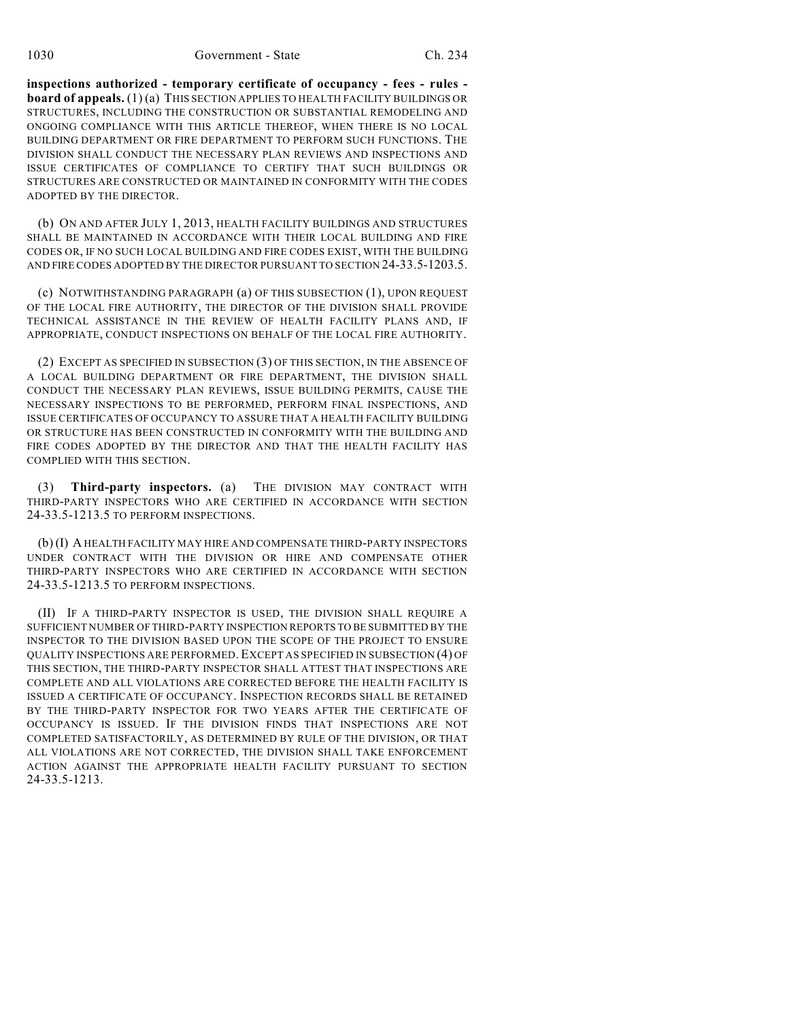**inspections authorized - temporary certificate of occupancy - fees - rules board of appeals.** (1) (a) THIS SECTION APPLIES TO HEALTH FACILITY BUILDINGS OR STRUCTURES, INCLUDING THE CONSTRUCTION OR SUBSTANTIAL REMODELING AND ONGOING COMPLIANCE WITH THIS ARTICLE THEREOF, WHEN THERE IS NO LOCAL BUILDING DEPARTMENT OR FIRE DEPARTMENT TO PERFORM SUCH FUNCTIONS. THE DIVISION SHALL CONDUCT THE NECESSARY PLAN REVIEWS AND INSPECTIONS AND ISSUE CERTIFICATES OF COMPLIANCE TO CERTIFY THAT SUCH BUILDINGS OR STRUCTURES ARE CONSTRUCTED OR MAINTAINED IN CONFORMITY WITH THE CODES ADOPTED BY THE DIRECTOR.

(b) ON AND AFTER JULY 1, 2013, HEALTH FACILITY BUILDINGS AND STRUCTURES SHALL BE MAINTAINED IN ACCORDANCE WITH THEIR LOCAL BUILDING AND FIRE CODES OR, IF NO SUCH LOCAL BUILDING AND FIRE CODES EXIST, WITH THE BUILDING AND FIRE CODES ADOPTED BY THE DIRECTOR PURSUANT TO SECTION 24-33.5-1203.5.

(c) NOTWITHSTANDING PARAGRAPH (a) OF THIS SUBSECTION (1), UPON REQUEST OF THE LOCAL FIRE AUTHORITY, THE DIRECTOR OF THE DIVISION SHALL PROVIDE TECHNICAL ASSISTANCE IN THE REVIEW OF HEALTH FACILITY PLANS AND, IF APPROPRIATE, CONDUCT INSPECTIONS ON BEHALF OF THE LOCAL FIRE AUTHORITY.

(2) EXCEPT AS SPECIFIED IN SUBSECTION (3) OF THIS SECTION, IN THE ABSENCE OF A LOCAL BUILDING DEPARTMENT OR FIRE DEPARTMENT, THE DIVISION SHALL CONDUCT THE NECESSARY PLAN REVIEWS, ISSUE BUILDING PERMITS, CAUSE THE NECESSARY INSPECTIONS TO BE PERFORMED, PERFORM FINAL INSPECTIONS, AND ISSUE CERTIFICATES OF OCCUPANCY TO ASSURE THAT A HEALTH FACILITY BUILDING OR STRUCTURE HAS BEEN CONSTRUCTED IN CONFORMITY WITH THE BUILDING AND FIRE CODES ADOPTED BY THE DIRECTOR AND THAT THE HEALTH FACILITY HAS COMPLIED WITH THIS SECTION.

(3) **Third-party inspectors.** (a) THE DIVISION MAY CONTRACT WITH THIRD-PARTY INSPECTORS WHO ARE CERTIFIED IN ACCORDANCE WITH SECTION 24-33.5-1213.5 TO PERFORM INSPECTIONS.

(b) (I) A HEALTH FACILITY MAY HIRE AND COMPENSATE THIRD-PARTY INSPECTORS UNDER CONTRACT WITH THE DIVISION OR HIRE AND COMPENSATE OTHER THIRD-PARTY INSPECTORS WHO ARE CERTIFIED IN ACCORDANCE WITH SECTION 24-33.5-1213.5 TO PERFORM INSPECTIONS.

(II) IF A THIRD-PARTY INSPECTOR IS USED, THE DIVISION SHALL REQUIRE A SUFFICIENT NUMBER OF THIRD-PARTY INSPECTION REPORTS TO BE SUBMITTED BY THE INSPECTOR TO THE DIVISION BASED UPON THE SCOPE OF THE PROJECT TO ENSURE QUALITY INSPECTIONS ARE PERFORMED. EXCEPT AS SPECIFIED IN SUBSECTION (4) OF THIS SECTION, THE THIRD-PARTY INSPECTOR SHALL ATTEST THAT INSPECTIONS ARE COMPLETE AND ALL VIOLATIONS ARE CORRECTED BEFORE THE HEALTH FACILITY IS ISSUED A CERTIFICATE OF OCCUPANCY. INSPECTION RECORDS SHALL BE RETAINED BY THE THIRD-PARTY INSPECTOR FOR TWO YEARS AFTER THE CERTIFICATE OF OCCUPANCY IS ISSUED. IF THE DIVISION FINDS THAT INSPECTIONS ARE NOT COMPLETED SATISFACTORILY, AS DETERMINED BY RULE OF THE DIVISION, OR THAT ALL VIOLATIONS ARE NOT CORRECTED, THE DIVISION SHALL TAKE ENFORCEMENT ACTION AGAINST THE APPROPRIATE HEALTH FACILITY PURSUANT TO SECTION 24-33.5-1213.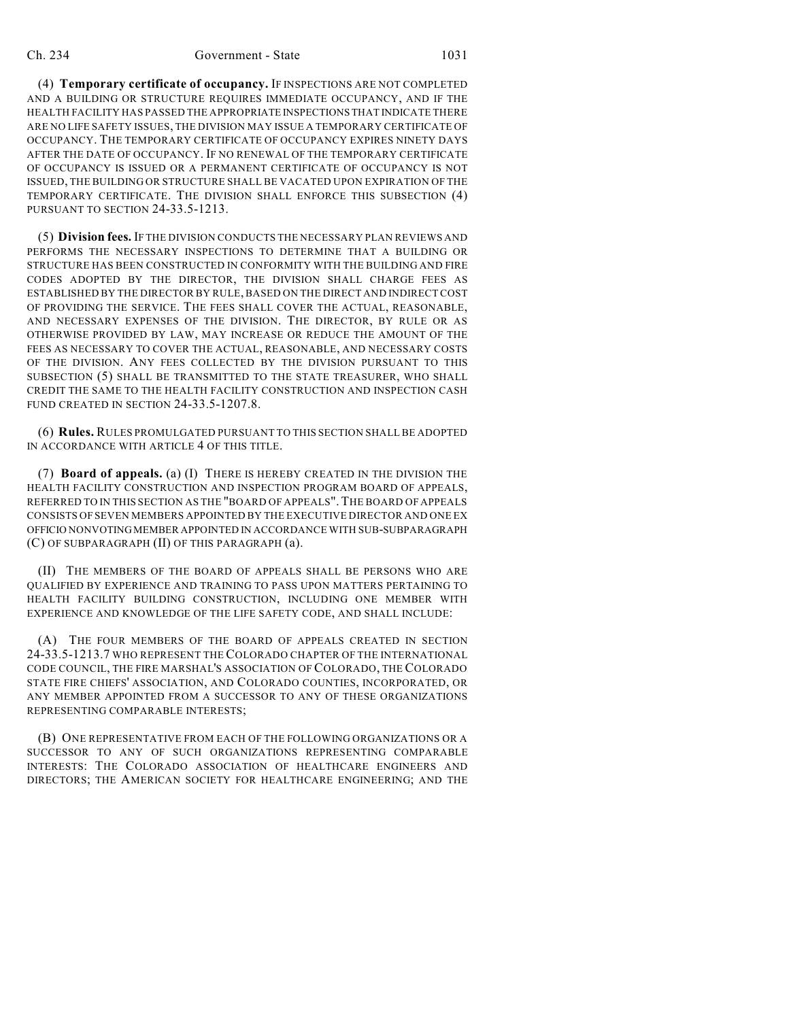(4) **Temporary certificate of occupancy.** IF INSPECTIONS ARE NOT COMPLETED AND A BUILDING OR STRUCTURE REQUIRES IMMEDIATE OCCUPANCY, AND IF THE HEALTH FACILITY HAS PASSED THE APPROPRIATE INSPECTIONS THAT INDICATE THERE ARE NO LIFE SAFETY ISSUES, THE DIVISION MAY ISSUE A TEMPORARY CERTIFICATE OF OCCUPANCY. THE TEMPORARY CERTIFICATE OF OCCUPANCY EXPIRES NINETY DAYS AFTER THE DATE OF OCCUPANCY. IF NO RENEWAL OF THE TEMPORARY CERTIFICATE OF OCCUPANCY IS ISSUED OR A PERMANENT CERTIFICATE OF OCCUPANCY IS NOT ISSUED, THE BUILDING OR STRUCTURE SHALL BE VACATED UPON EXPIRATION OF THE TEMPORARY CERTIFICATE. THE DIVISION SHALL ENFORCE THIS SUBSECTION (4) PURSUANT TO SECTION 24-33.5-1213.

(5) **Division fees.** IF THE DIVISION CONDUCTS THE NECESSARY PLAN REVIEWS AND PERFORMS THE NECESSARY INSPECTIONS TO DETERMINE THAT A BUILDING OR STRUCTURE HAS BEEN CONSTRUCTED IN CONFORMITY WITH THE BUILDING AND FIRE CODES ADOPTED BY THE DIRECTOR, THE DIVISION SHALL CHARGE FEES AS ESTABLISHED BY THE DIRECTOR BY RULE, BASED ON THE DIRECT AND INDIRECT COST OF PROVIDING THE SERVICE. THE FEES SHALL COVER THE ACTUAL, REASONABLE, AND NECESSARY EXPENSES OF THE DIVISION. THE DIRECTOR, BY RULE OR AS OTHERWISE PROVIDED BY LAW, MAY INCREASE OR REDUCE THE AMOUNT OF THE FEES AS NECESSARY TO COVER THE ACTUAL, REASONABLE, AND NECESSARY COSTS OF THE DIVISION. ANY FEES COLLECTED BY THE DIVISION PURSUANT TO THIS SUBSECTION (5) SHALL BE TRANSMITTED TO THE STATE TREASURER, WHO SHALL CREDIT THE SAME TO THE HEALTH FACILITY CONSTRUCTION AND INSPECTION CASH FUND CREATED IN SECTION 24-33.5-1207.8.

(6) **Rules.** RULES PROMULGATED PURSUANT TO THIS SECTION SHALL BE ADOPTED IN ACCORDANCE WITH ARTICLE 4 OF THIS TITLE.

(7) **Board of appeals.** (a) (I) THERE IS HEREBY CREATED IN THE DIVISION THE HEALTH FACILITY CONSTRUCTION AND INSPECTION PROGRAM BOARD OF APPEALS, REFERRED TO IN THIS SECTION AS THE "BOARD OF APPEALS".THE BOARD OF APPEALS CONSISTS OF SEVEN MEMBERS APPOINTED BY THE EXECUTIVE DIRECTOR AND ONE EX OFFICIO NONVOTINGMEMBER APPOINTED IN ACCORDANCE WITH SUB-SUBPARAGRAPH (C) OF SUBPARAGRAPH (II) OF THIS PARAGRAPH (a).

(II) THE MEMBERS OF THE BOARD OF APPEALS SHALL BE PERSONS WHO ARE QUALIFIED BY EXPERIENCE AND TRAINING TO PASS UPON MATTERS PERTAINING TO HEALTH FACILITY BUILDING CONSTRUCTION, INCLUDING ONE MEMBER WITH EXPERIENCE AND KNOWLEDGE OF THE LIFE SAFETY CODE, AND SHALL INCLUDE:

(A) THE FOUR MEMBERS OF THE BOARD OF APPEALS CREATED IN SECTION 24-33.5-1213.7 WHO REPRESENT THE COLORADO CHAPTER OF THE INTERNATIONAL CODE COUNCIL, THE FIRE MARSHAL'S ASSOCIATION OF COLORADO, THE COLORADO STATE FIRE CHIEFS' ASSOCIATION, AND COLORADO COUNTIES, INCORPORATED, OR ANY MEMBER APPOINTED FROM A SUCCESSOR TO ANY OF THESE ORGANIZATIONS REPRESENTING COMPARABLE INTERESTS;

(B) ONE REPRESENTATIVE FROM EACH OF THE FOLLOWING ORGANIZATIONS OR A SUCCESSOR TO ANY OF SUCH ORGANIZATIONS REPRESENTING COMPARABLE INTERESTS: THE COLORADO ASSOCIATION OF HEALTHCARE ENGINEERS AND DIRECTORS; THE AMERICAN SOCIETY FOR HEALTHCARE ENGINEERING; AND THE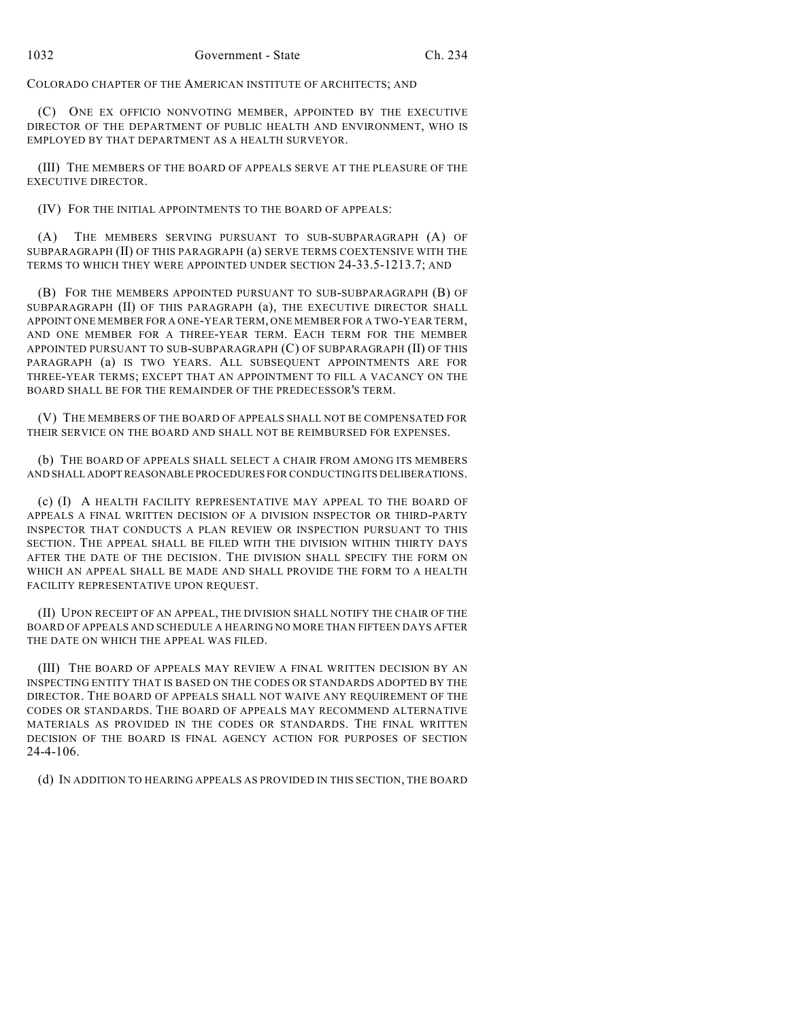COLORADO CHAPTER OF THE AMERICAN INSTITUTE OF ARCHITECTS; AND

(C) ONE EX OFFICIO NONVOTING MEMBER, APPOINTED BY THE EXECUTIVE DIRECTOR OF THE DEPARTMENT OF PUBLIC HEALTH AND ENVIRONMENT, WHO IS EMPLOYED BY THAT DEPARTMENT AS A HEALTH SURVEYOR.

(III) THE MEMBERS OF THE BOARD OF APPEALS SERVE AT THE PLEASURE OF THE EXECUTIVE DIRECTOR.

(IV) FOR THE INITIAL APPOINTMENTS TO THE BOARD OF APPEALS:

THE MEMBERS SERVING PURSUANT TO SUB-SUBPARAGRAPH (A) OF SUBPARAGRAPH (II) OF THIS PARAGRAPH (a) SERVE TERMS COEXTENSIVE WITH THE TERMS TO WHICH THEY WERE APPOINTED UNDER SECTION 24-33.5-1213.7; AND

(B) FOR THE MEMBERS APPOINTED PURSUANT TO SUB-SUBPARAGRAPH (B) OF SUBPARAGRAPH (II) OF THIS PARAGRAPH (a), THE EXECUTIVE DIRECTOR SHALL APPOINT ONE MEMBER FOR A ONE-YEAR TERM, ONE MEMBER FOR A TWO-YEAR TERM, AND ONE MEMBER FOR A THREE-YEAR TERM. EACH TERM FOR THE MEMBER APPOINTED PURSUANT TO SUB-SUBPARAGRAPH (C) OF SUBPARAGRAPH (II) OF THIS PARAGRAPH (a) IS TWO YEARS. ALL SUBSEQUENT APPOINTMENTS ARE FOR THREE-YEAR TERMS; EXCEPT THAT AN APPOINTMENT TO FILL A VACANCY ON THE BOARD SHALL BE FOR THE REMAINDER OF THE PREDECESSOR'S TERM.

(V) THE MEMBERS OF THE BOARD OF APPEALS SHALL NOT BE COMPENSATED FOR THEIR SERVICE ON THE BOARD AND SHALL NOT BE REIMBURSED FOR EXPENSES.

(b) THE BOARD OF APPEALS SHALL SELECT A CHAIR FROM AMONG ITS MEMBERS AND SHALL ADOPT REASONABLE PROCEDURES FOR CONDUCTING ITS DELIBERATIONS.

(c) (I) A HEALTH FACILITY REPRESENTATIVE MAY APPEAL TO THE BOARD OF APPEALS A FINAL WRITTEN DECISION OF A DIVISION INSPECTOR OR THIRD-PARTY INSPECTOR THAT CONDUCTS A PLAN REVIEW OR INSPECTION PURSUANT TO THIS SECTION. THE APPEAL SHALL BE FILED WITH THE DIVISION WITHIN THIRTY DAYS AFTER THE DATE OF THE DECISION. THE DIVISION SHALL SPECIFY THE FORM ON WHICH AN APPEAL SHALL BE MADE AND SHALL PROVIDE THE FORM TO A HEALTH FACILITY REPRESENTATIVE UPON REQUEST.

(II) UPON RECEIPT OF AN APPEAL, THE DIVISION SHALL NOTIFY THE CHAIR OF THE BOARD OF APPEALS AND SCHEDULE A HEARING NO MORE THAN FIFTEEN DAYS AFTER THE DATE ON WHICH THE APPEAL WAS FILED.

(III) THE BOARD OF APPEALS MAY REVIEW A FINAL WRITTEN DECISION BY AN INSPECTING ENTITY THAT IS BASED ON THE CODES OR STANDARDS ADOPTED BY THE DIRECTOR. THE BOARD OF APPEALS SHALL NOT WAIVE ANY REQUIREMENT OF THE CODES OR STANDARDS. THE BOARD OF APPEALS MAY RECOMMEND ALTERNATIVE MATERIALS AS PROVIDED IN THE CODES OR STANDARDS. THE FINAL WRITTEN DECISION OF THE BOARD IS FINAL AGENCY ACTION FOR PURPOSES OF SECTION 24-4-106.

(d) IN ADDITION TO HEARING APPEALS AS PROVIDED IN THIS SECTION, THE BOARD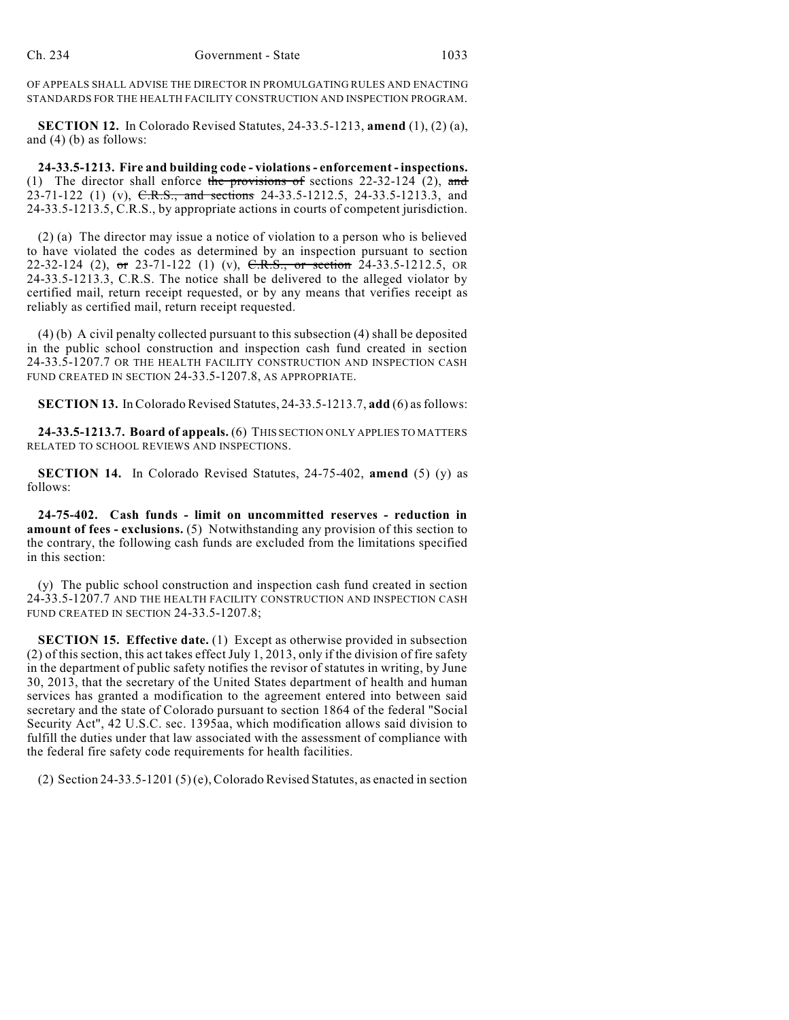OF APPEALS SHALL ADVISE THE DIRECTOR IN PROMULGATING RULES AND ENACTING STANDARDS FOR THE HEALTH FACILITY CONSTRUCTION AND INSPECTION PROGRAM.

**SECTION 12.** In Colorado Revised Statutes, 24-33.5-1213, **amend** (1), (2) (a), and (4) (b) as follows:

**24-33.5-1213. Fire and building code - violations- enforcement - inspections.** (1) The director shall enforce the provisions of sections  $22-32-124$  (2), and 23-71-122 (1) (v), C.R.S., and sections 24-33.5-1212.5, 24-33.5-1213.3, and 24-33.5-1213.5, C.R.S., by appropriate actions in courts of competent jurisdiction.

(2) (a) The director may issue a notice of violation to a person who is believed to have violated the codes as determined by an inspection pursuant to section 22-32-124 (2), or 23-71-122 (1) (v), C.R.S., or section 24-33.5-1212.5, OR 24-33.5-1213.3, C.R.S. The notice shall be delivered to the alleged violator by certified mail, return receipt requested, or by any means that verifies receipt as reliably as certified mail, return receipt requested.

(4) (b) A civil penalty collected pursuant to this subsection (4) shall be deposited in the public school construction and inspection cash fund created in section 24-33.5-1207.7 OR THE HEALTH FACILITY CONSTRUCTION AND INSPECTION CASH FUND CREATED IN SECTION 24-33.5-1207.8, AS APPROPRIATE.

**SECTION 13.** In Colorado Revised Statutes, 24-33.5-1213.7, add (6) as follows:

**24-33.5-1213.7. Board of appeals.** (6) THIS SECTION ONLY APPLIES TO MATTERS RELATED TO SCHOOL REVIEWS AND INSPECTIONS.

**SECTION 14.** In Colorado Revised Statutes, 24-75-402, **amend** (5) (y) as follows:

**24-75-402. Cash funds - limit on uncommitted reserves - reduction in amount of fees - exclusions.** (5) Notwithstanding any provision of this section to the contrary, the following cash funds are excluded from the limitations specified in this section:

(y) The public school construction and inspection cash fund created in section 24-33.5-1207.7 AND THE HEALTH FACILITY CONSTRUCTION AND INSPECTION CASH FUND CREATED IN SECTION 24-33.5-1207.8;

**SECTION 15. Effective date.** (1) Except as otherwise provided in subsection (2) of this section, this act takes effect July 1, 2013, only if the division of fire safety in the department of public safety notifies the revisor of statutes in writing, by June 30, 2013, that the secretary of the United States department of health and human services has granted a modification to the agreement entered into between said secretary and the state of Colorado pursuant to section 1864 of the federal "Social Security Act", 42 U.S.C. sec. 1395aa, which modification allows said division to fulfill the duties under that law associated with the assessment of compliance with the federal fire safety code requirements for health facilities.

(2) Section 24-33.5-1201 (5) (e), Colorado Revised Statutes, as enacted in section